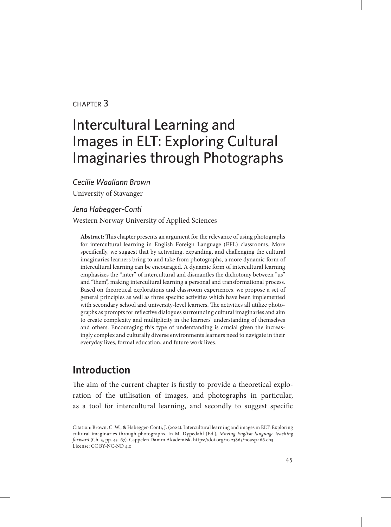#### chapter 3

# Intercultural Learning and Images in ELT: Exploring Cultural Imaginaries through Photographs

*Cecilie Waallann Brown*

University of Stavanger

#### *Jena Habegger-Conti*

Western Norway University of Applied Sciences

**Abstract:** This chapter presents an argument for the relevance of using photographs for intercultural learning in English Foreign Language (EFL) classrooms. More specifically, we suggest that by activating, expanding, and challenging the cultural imaginaries learners bring to and take from photographs, a more dynamic form of intercultural learning can be encouraged. A dynamic form of intercultural learning emphasizes the "inter" of intercultural and dismantles the dichotomy between "us" and "them", making intercultural learning a personal and transformational process. Based on theoretical explorations and classroom experiences, we propose a set of general principles as well as three specific activities which have been implemented with secondary school and university-level learners. The activities all utilize photographs as prompts for reflective dialogues surrounding cultural imaginaries and aim to create complexity and multiplicity in the learners' understanding of themselves and others. Encouraging this type of understanding is crucial given the increasingly complex and culturally diverse environments learners need to navigate in their everyday lives, formal education, and future work lives.

## **Introduction**

The aim of the current chapter is firstly to provide a theoretical exploration of the utilisation of images, and photographs in particular, as a tool for intercultural learning, and secondly to suggest specific

Citation: Brown, C. W., & Habegger-Conti, J. (2022). Intercultural learning and images in ELT: Exploring cultural imaginaries through photographs. In M. Dypedahl (Ed.), *Moving English language teaching forward* (Ch. 3, pp. 45–67). Cappelen Damm Akademisk. https://doi.org/10.23865/noasp.166.ch3 License: CC BY-NC-ND 4.0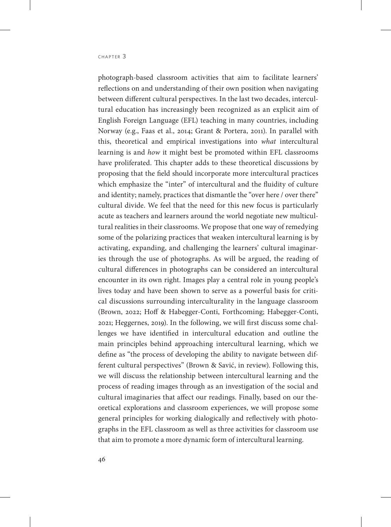photograph-based classroom activities that aim to facilitate learners' reflections on and understanding of their own position when navigating between different cultural perspectives. In the last two decades, intercultural education has increasingly been recognized as an explicit aim of English Foreign Language (EFL) teaching in many countries, including Norway (e.g., Faas et al., 2014; Grant & Portera, 2011). In parallel with this, theoretical and empirical investigations into *what* intercultural learning is and *how* it might best be promoted within EFL classrooms have proliferated. This chapter adds to these theoretical discussions by proposing that the field should incorporate more intercultural practices which emphasize the "inter" of intercultural and the fluidity of culture and identity; namely, practices that dismantle the "over here / over there" cultural divide. We feel that the need for this new focus is particularly acute as teachers and learners around the world negotiate new multicultural realities in their classrooms. We propose that one way of remedying some of the polarizing practices that weaken intercultural learning is by activating, expanding, and challenging the learners' cultural imaginaries through the use of photographs. As will be argued, the reading of cultural differences in photographs can be considered an intercultural encounter in its own right. Images play a central role in young people's lives today and have been shown to serve as a powerful basis for critical discussions surrounding interculturality in the language classroom (Brown, 2022; Hoff & Habegger-Conti, Forthcoming; Habegger-Conti, 2021; Heggernes, 2019). In the following, we will first discuss some challenges we have identified in intercultural education and outline the main principles behind approaching intercultural learning, which we define as "the process of developing the ability to navigate between different cultural perspectives" (Brown & Savić, in review). Following this, we will discuss the relationship between intercultural learning and the process of reading images through as an investigation of the social and cultural imaginaries that affect our readings. Finally, based on our theoretical explorations and classroom experiences, we will propose some general principles for working dialogically and reflectively with photographs in the EFL classroom as well as three activities for classroom use that aim to promote a more dynamic form of intercultural learning.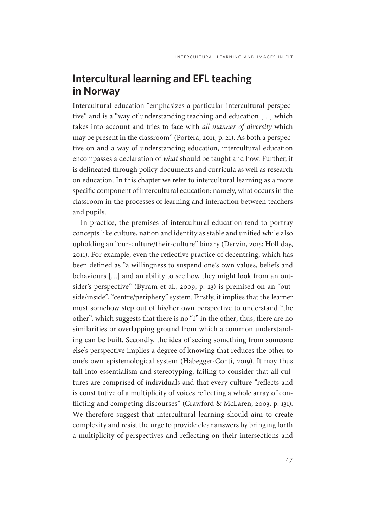# **Intercultural learning and EFL teaching in Norway**

Intercultural education "emphasizes a particular intercultural perspective" and is a "way of understanding teaching and education […] which takes into account and tries to face with *all manner of diversity* which may be present in the classroom" (Portera, 2011, p. 21). As both a perspective on and a way of understanding education, intercultural education encompasses a declaration of *what* should be taught and how. Further, it is delineated through policy documents and curricula as well as research on education. In this chapter we refer to intercultural learning as a more specific component of intercultural education: namely, what occurs in the classroom in the processes of learning and interaction between teachers and pupils.

In practice, the premises of intercultural education tend to portray concepts like culture, nation and identity as stable and unified while also upholding an "our-culture/their-culture" binary (Dervin, 2015; Holliday, 2011). For example, even the reflective practice of decentring, which has been defined as "a willingness to suspend one's own values, beliefs and behaviours […] and an ability to see how they might look from an outsider's perspective" (Byram et al., 2009, p. 23) is premised on an "outside/inside", "centre/periphery" system. Firstly, it implies that the learner must somehow step out of his/her own perspective to understand "the other", which suggests that there is no "I" in the other; thus, there are no similarities or overlapping ground from which a common understanding can be built. Secondly, the idea of seeing something from someone else's perspective implies a degree of knowing that reduces the other to one's own epistemological system (Habegger-Conti, 2019). It may thus fall into essentialism and stereotyping, failing to consider that all cultures are comprised of individuals and that every culture "reflects and is constitutive of a multiplicity of voices reflecting a whole array of conflicting and competing discourses" (Crawford & McLaren, 2003, p. 131). We therefore suggest that intercultural learning should aim to create complexity and resist the urge to provide clear answers by bringing forth a multiplicity of perspectives and reflecting on their intersections and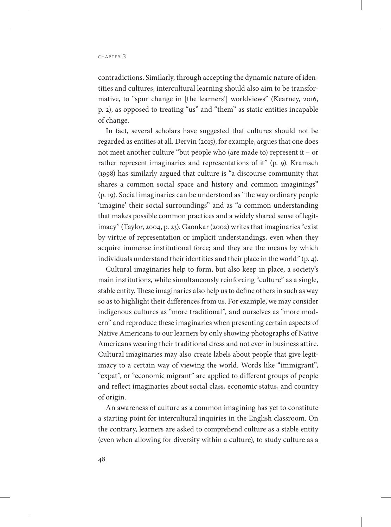contradictions. Similarly, through accepting the dynamic nature of identities and cultures, intercultural learning should also aim to be transformative, to "spur change in [the learners'] worldviews" (Kearney, 2016, p. 2), as opposed to treating "us" and "them" as static entities incapable of change.

In fact, several scholars have suggested that cultures should not be regarded as entities at all. Dervin (2015), for example, argues that one does not meet another culture "but people who (are made to) represent it – or rather represent imaginaries and representations of it" (p. 9). Kramsch (1998) has similarly argued that culture is "a discourse community that shares a common social space and history and common imaginings" (p. 19). Social imaginaries can be understood as "the way ordinary people 'imagine' their social surroundings" and as "a common understanding that makes possible common practices and a widely shared sense of legitimacy" (Taylor, 2004, p. 23). Gaonkar (2002) writes that imaginaries "exist by virtue of representation or implicit understandings, even when they acquire immense institutional force; and they are the means by which individuals understand their identities and their place in the world" (p. 4).

Cultural imaginaries help to form, but also keep in place, a society's main institutions, while simultaneously reinforcing "culture" as a single, stable entity. These imaginaries also help us to define others in such as way so as to highlight their differences from us. For example, we may consider indigenous cultures as "more traditional", and ourselves as "more modern" and reproduce these imaginaries when presenting certain aspects of Native Americans to our learners by only showing photographs of Native Americans wearing their traditional dress and not ever in business attire. Cultural imaginaries may also create labels about people that give legitimacy to a certain way of viewing the world. Words like "immigrant", "expat", or "economic migrant" are applied to different groups of people and reflect imaginaries about social class, economic status, and country of origin.

An awareness of culture as a common imagining has yet to constitute a starting point for intercultural inquiries in the English classroom. On the contrary, learners are asked to comprehend culture as a stable entity (even when allowing for diversity within a culture), to study culture as a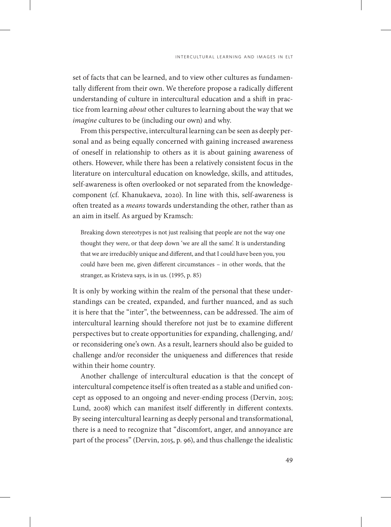set of facts that can be learned, and to view other cultures as fundamentally different from their own. We therefore propose a radically different understanding of culture in intercultural education and a shift in practice from learning *about* other cultures to learning about the way that we *imagine* cultures to be (including our own) and why.

From this perspective, intercultural learning can be seen as deeply personal and as being equally concerned with gaining increased awareness of oneself in relationship to others as it is about gaining awareness of others. However, while there has been a relatively consistent focus in the literature on intercultural education on knowledge, skills, and attitudes, self-awareness is often overlooked or not separated from the knowledgecomponent (cf. Khanukaeva, 2020). In line with this, self-awareness is often treated as a *means* towards understanding the other, rather than as an aim in itself. As argued by Kramsch:

Breaking down stereotypes is not just realising that people are not the way one thought they were, or that deep down 'we are all the same'. It is understanding that we are irreducibly unique and different, and that I could have been you, you could have been me, given different circumstances – in other words, that the stranger, as Kristeva says, is in us. (1995, p. 85)

It is only by working within the realm of the personal that these understandings can be created, expanded, and further nuanced, and as such it is here that the "inter", the betweenness, can be addressed. The aim of intercultural learning should therefore not just be to examine different perspectives but to create opportunities for expanding, challenging, and/ or reconsidering one's own. As a result, learners should also be guided to challenge and/or reconsider the uniqueness and differences that reside within their home country.

Another challenge of intercultural education is that the concept of intercultural competence itself is often treated as a stable and unified concept as opposed to an ongoing and never-ending process (Dervin, 2015; Lund, 2008) which can manifest itself differently in different contexts. By seeing intercultural learning as deeply personal and transformational, there is a need to recognize that "discomfort, anger, and annoyance are part of the process" (Dervin, 2015, p. 96), and thus challenge the idealistic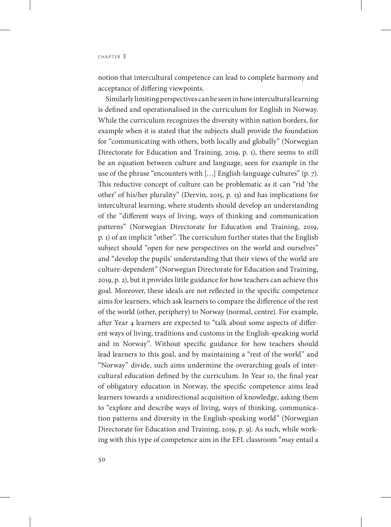notion that intercultural competence can lead to complete harmony and acceptance of differing viewpoints.

Similarly limiting perspectives can be seen in how intercultural learning is defined and operationalised in the curriculum for English in Norway. While the curriculum recognizes the diversity within nation borders, for example when it is stated that the subjects shall provide the foundation for "communicating with others, both locally and globally" (Norwegian Directorate for Education and Training, 2019, p. 1), there seems to still be an equation between culture and language, seen for example in the use of the phrase "encounters with […] English-language cultures" (p. 7). This reductive concept of culture can be problematic as it can "rid 'the other' of his/her plurality" (Dervin, 2015, p. 13) and has implications for intercultural learning, where students should develop an understanding of the "different ways of living, ways of thinking and communication patterns" (Norwegian Directorate for Education and Training, 2019, p. 1) of an implicit "other". The curriculum further states that the English subject should "open for new perspectives on the world and ourselves" and "develop the pupils' understanding that their views of the world are culture-dependent" (Norwegian Directorate for Education and Training, 2019, p. 2), but it provides little guidance for how teachers can achieve this goal. Moreover, these ideals are not reflected in the specific competence aims for learners, which ask learners to compare the difference of the rest of the world (other, periphery) to Norway (normal, centre). For example, after Year 4 learners are expected to "talk about some aspects of different ways of living, traditions and customs in the English-speaking world and in Norway". Without specific guidance for how teachers should lead learners to this goal, and by maintaining a "rest of the world" and "Norway" divide, such aims undermine the overarching goals of intercultural education defined by the curriculum. In Year 10, the final year of obligatory education in Norway, the specific competence aims lead learners towards a unidirectional acquisition of knowledge, asking them to "explore and describe ways of living, ways of thinking, communication patterns and diversity in the English-speaking world" (Norwegian Directorate for Education and Training, 2019, p. 9). As such, while working with this type of competence aim in the EFL classroom "*may* entail a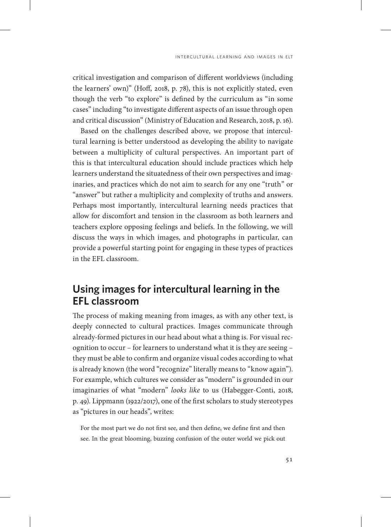critical investigation and comparison of different worldviews (including the learners' own)" (Hoff, 2018, p. 78), this is not explicitly stated, even though the verb "to explore" is defined by the curriculum as "in some cases" including "to investigate different aspects of an issue through open and critical discussion" (Ministry of Education and Research, 2018, p. 16).

Based on the challenges described above, we propose that intercultural learning is better understood as developing the ability to navigate between a multiplicity of cultural perspectives. An important part of this is that intercultural education should include practices which help learners understand the situatedness of their own perspectives and imaginaries, and practices which do not aim to search for any one "truth" or "answer" but rather a multiplicity and complexity of truths and answers. Perhaps most importantly, intercultural learning needs practices that allow for discomfort and tension in the classroom as both learners and teachers explore opposing feelings and beliefs. In the following, we will discuss the ways in which images, and photographs in particular, can provide a powerful starting point for engaging in these types of practices in the EFL classroom.

# **Using images for intercultural learning in the EFL classroom**

The process of making meaning from images, as with any other text, is deeply connected to cultural practices. Images communicate through already-formed pictures in our head about what a thing is. For visual recognition to occur – for learners to understand what it is they are seeing – they must be able to confirm and organize visual codes according to what is already known (the word "recognize" literally means to "know again"). For example, which cultures we consider as "modern" is grounded in our imaginaries of what "modern" *looks like* to us (Habegger-Conti, 2018, p. 49). Lippmann (1922/2017), one of the first scholars to study stereotypes as "pictures in our heads", writes:

For the most part we do not first see, and then define, we define first and then see. In the great blooming, buzzing confusion of the outer world we pick out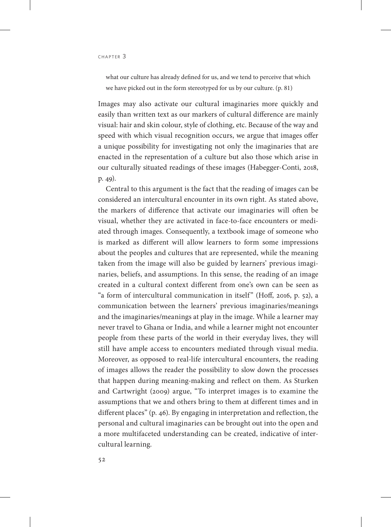what our culture has already defined for us, and we tend to perceive that which we have picked out in the form stereotyped for us by our culture. (p. 81)

Images may also activate our cultural imaginaries more quickly and easily than written text as our markers of cultural difference are mainly visual: hair and skin colour, style of clothing, etc. Because of the way and speed with which visual recognition occurs, we argue that images offer a unique possibility for investigating not only the imaginaries that are enacted in the representation of a culture but also those which arise in our culturally situated readings of these images (Habegger-Conti, 2018, p. 49).

Central to this argument is the fact that the reading of images can be considered an intercultural encounter in its own right. As stated above, the markers of difference that activate our imaginaries will often be visual, whether they are activated in face-to-face encounters or mediated through images. Consequently, a textbook image of someone who is marked as different will allow learners to form some impressions about the peoples and cultures that are represented, while the meaning taken from the image will also be guided by learners' previous imaginaries, beliefs, and assumptions. In this sense, the reading of an image created in a cultural context different from one's own can be seen as "a form of intercultural communication in itself" (Hoff, 2016, p. 52), a communication between the learners' previous imaginaries/meanings and the imaginaries/meanings at play in the image. While a learner may never travel to Ghana or India, and while a learner might not encounter people from these parts of the world in their everyday lives, they will still have ample access to encounters mediated through visual media. Moreover, as opposed to real-life intercultural encounters, the reading of images allows the reader the possibility to slow down the processes that happen during meaning-making and reflect on them. As Sturken and Cartwright (2009) argue, "To interpret images is to examine the assumptions that we and others bring to them at different times and in different places" (p. 46). By engaging in interpretation and reflection, the personal and cultural imaginaries can be brought out into the open and a more multifaceted understanding can be created, indicative of intercultural learning.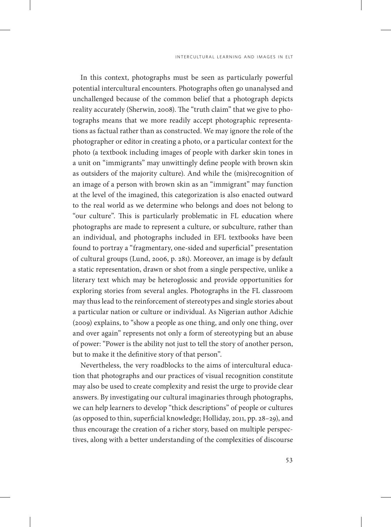In this context, photographs must be seen as particularly powerful potential intercultural encounters. Photographs often go unanalysed and unchallenged because of the common belief that a photograph depicts reality accurately (Sherwin, 2008). The "truth claim" that we give to photographs means that we more readily accept photographic representations as factual rather than as constructed. We may ignore the role of the photographer or editor in creating a photo, or a particular context for the photo (a textbook including images of people with darker skin tones in a unit on "immigrants" may unwittingly define people with brown skin as outsiders of the majority culture). And while the (mis)recognition of an image of a person with brown skin as an "immigrant" may function at the level of the imagined, this categorization is also enacted outward to the real world as we determine who belongs and does not belong to "our culture". This is particularly problematic in FL education where photographs are made to represent a culture, or subculture, rather than an individual, and photographs included in EFL textbooks have been found to portray a "fragmentary, one-sided and superficial" presentation of cultural groups (Lund, 2006, p. 281). Moreover, an image is by default a static representation, drawn or shot from a single perspective, unlike a literary text which may be heteroglossic and provide opportunities for exploring stories from several angles. Photographs in the FL classroom may thus lead to the reinforcement of stereotypes and single stories about a particular nation or culture or individual. As Nigerian author Adichie (2009) explains, to "show a people as one thing, and only one thing, over and over again" represents not only a form of stereotyping but an abuse of power: "Power is the ability not just to tell the story of another person, but to make it the definitive story of that person".

Nevertheless, the very roadblocks to the aims of intercultural education that photographs and our practices of visual recognition constitute may also be used to create complexity and resist the urge to provide clear answers. By investigating our cultural imaginaries through photographs, we can help learners to develop "thick descriptions" of people or cultures (as opposed to thin, superficial knowledge; Holliday, 2011, pp. 28–29), and thus encourage the creation of a richer story, based on multiple perspectives, along with a better understanding of the complexities of discourse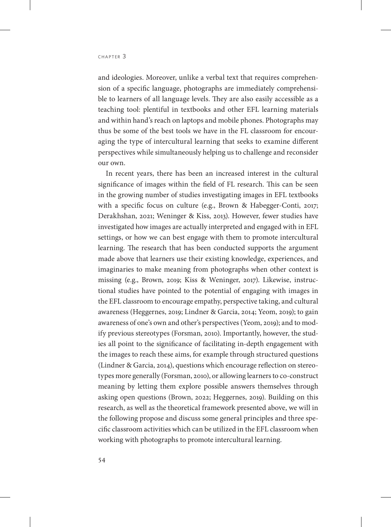and ideologies. Moreover, unlike a verbal text that requires comprehension of a specific language, photographs are immediately comprehensible to learners of all language levels. They are also easily accessible as a teaching tool: plentiful in textbooks and other EFL learning materials and within hand's reach on laptops and mobile phones. Photographs may thus be some of the best tools we have in the FL classroom for encouraging the type of intercultural learning that seeks to examine different perspectives while simultaneously helping us to challenge and reconsider our own.

In recent years, there has been an increased interest in the cultural significance of images within the field of FL research. This can be seen in the growing number of studies investigating images in EFL textbooks with a specific focus on culture (e.g., Brown & Habegger-Conti, 2017; Derakhshan, 2021; Weninger & Kiss, 2013). However, fewer studies have investigated how images are actually interpreted and engaged with in EFL settings, or how we can best engage with them to promote intercultural learning. The research that has been conducted supports the argument made above that learners use their existing knowledge, experiences, and imaginaries to make meaning from photographs when other context is missing (e.g., Brown, 2019; Kiss & Weninger, 2017). Likewise, instructional studies have pointed to the potential of engaging with images in the EFL classroom to encourage empathy, perspective taking, and cultural awareness (Heggernes, 2019; Lindner & Garcia, 2014; Yeom, 2019); to gain awareness of one's own and other's perspectives (Yeom, 2019); and to modify previous stereotypes (Forsman, 2010). Importantly, however, the studies all point to the significance of facilitating in-depth engagement with the images to reach these aims, for example through structured questions (Lindner & Garcia, 2014), questions which encourage reflection on stereotypes more generally (Forsman, 2010), or allowing learners to co-construct meaning by letting them explore possible answers themselves through asking open questions (Brown, 2022; Heggernes, 2019). Building on this research, as well as the theoretical framework presented above, we will in the following propose and discuss some general principles and three specific classroom activities which can be utilized in the EFL classroom when working with photographs to promote intercultural learning.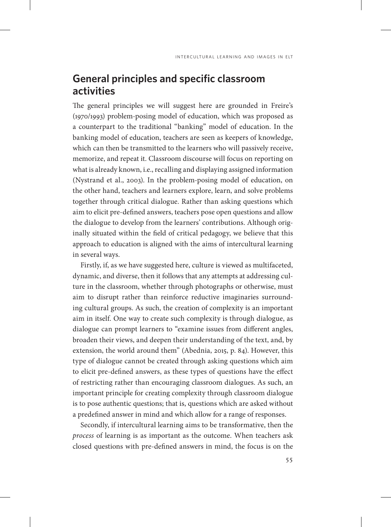# **General principles and specific classroom activities**

The general principles we will suggest here are grounded in Freire's (1970/1993) problem-posing model of education, which was proposed as a counterpart to the traditional "banking" model of education. In the banking model of education, teachers are seen as keepers of knowledge, which can then be transmitted to the learners who will passively receive, memorize, and repeat it. Classroom discourse will focus on reporting on what is already known, i.e., recalling and displaying assigned information (Nystrand et al., 2003). In the problem-posing model of education, on the other hand, teachers and learners explore, learn, and solve problems together through critical dialogue. Rather than asking questions which aim to elicit pre-defined answers, teachers pose open questions and allow the dialogue to develop from the learners' contributions. Although originally situated within the field of critical pedagogy, we believe that this approach to education is aligned with the aims of intercultural learning in several ways.

Firstly, if, as we have suggested here, culture is viewed as multifaceted, dynamic, and diverse, then it follows that any attempts at addressing culture in the classroom, whether through photographs or otherwise, must aim to disrupt rather than reinforce reductive imaginaries surrounding cultural groups. As such, the creation of complexity is an important aim in itself. One way to create such complexity is through dialogue, as dialogue can prompt learners to "examine issues from different angles, broaden their views, and deepen their understanding of the text, and, by extension, the world around them" (Abednia, 2015, p. 84). However, this type of dialogue cannot be created through asking questions which aim to elicit pre-defined answers, as these types of questions have the effect of restricting rather than encouraging classroom dialogues. As such, an important principle for creating complexity through classroom dialogue is to pose authentic questions; that is, questions which are asked without a predefined answer in mind and which allow for a range of responses.

Secondly, if intercultural learning aims to be transformative, then the *process* of learning is as important as the outcome. When teachers ask closed questions with pre-defined answers in mind, the focus is on the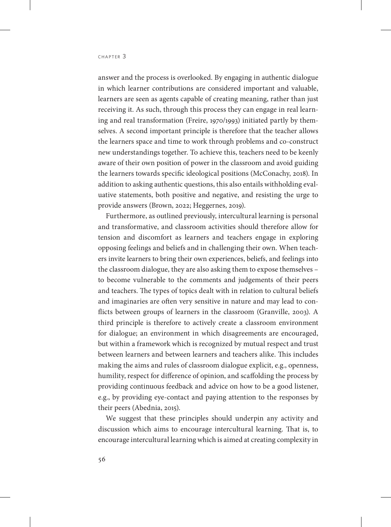answer and the process is overlooked. By engaging in authentic dialogue in which learner contributions are considered important and valuable, learners are seen as agents capable of creating meaning, rather than just receiving it. As such, through this process they can engage in real learning and real transformation (Freire, 1970/1993) initiated partly by themselves. A second important principle is therefore that the teacher allows the learners space and time to work through problems and co-construct new understandings together. To achieve this, teachers need to be keenly aware of their own position of power in the classroom and avoid guiding the learners towards specific ideological positions (McConachy, 2018). In addition to asking authentic questions, this also entails withholding evaluative statements, both positive and negative, and resisting the urge to provide answers (Brown, 2022; Heggernes, 2019).

Furthermore, as outlined previously, intercultural learning is personal and transformative, and classroom activities should therefore allow for tension and discomfort as learners and teachers engage in exploring opposing feelings and beliefs and in challenging their own. When teachers invite learners to bring their own experiences, beliefs, and feelings into the classroom dialogue, they are also asking them to expose themselves – to become vulnerable to the comments and judgements of their peers and teachers. The types of topics dealt with in relation to cultural beliefs and imaginaries are often very sensitive in nature and may lead to conflicts between groups of learners in the classroom (Granville, 2003). A third principle is therefore to actively create a classroom environment for dialogue; an environment in which disagreements are encouraged, but within a framework which is recognized by mutual respect and trust between learners and between learners and teachers alike. This includes making the aims and rules of classroom dialogue explicit, e.g., openness, humility, respect for difference of opinion, and scaffolding the process by providing continuous feedback and advice on how to be a good listener, e.g., by providing eye-contact and paying attention to the responses by their peers (Abednia, 2015).

We suggest that these principles should underpin any activity and discussion which aims to encourage intercultural learning. That is, to encourage intercultural learning which is aimed at creating complexity in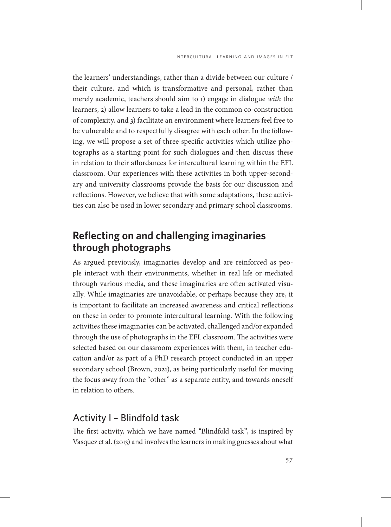the learners' understandings, rather than a divide between our culture / their culture, and which is transformative and personal, rather than merely academic, teachers should aim to 1) engage in dialogue *with* the learners, 2) allow learners to take a lead in the common co-construction of complexity, and 3) facilitate an environment where learners feel free to be vulnerable and to respectfully disagree with each other. In the following, we will propose a set of three specific activities which utilize photographs as a starting point for such dialogues and then discuss these in relation to their affordances for intercultural learning within the EFL classroom. Our experiences with these activities in both upper-secondary and university classrooms provide the basis for our discussion and reflections. However, we believe that with some adaptations, these activities can also be used in lower secondary and primary school classrooms.

# **Reflecting on and challenging imaginaries through photographs**

As argued previously, imaginaries develop and are reinforced as people interact with their environments, whether in real life or mediated through various media, and these imaginaries are often activated visually. While imaginaries are unavoidable, or perhaps because they are, it is important to facilitate an increased awareness and critical reflections on these in order to promote intercultural learning. With the following activities these imaginaries can be activated, challenged and/or expanded through the use of photographs in the EFL classroom. The activities were selected based on our classroom experiences with them, in teacher education and/or as part of a PhD research project conducted in an upper secondary school (Brown, 2021), as being particularly useful for moving the focus away from the "other" as a separate entity, and towards oneself in relation to others.

## Activity I – Blindfold task

The first activity, which we have named "Blindfold task", is inspired by Vasquez et al. (2013) and involves the learners in making guesses about what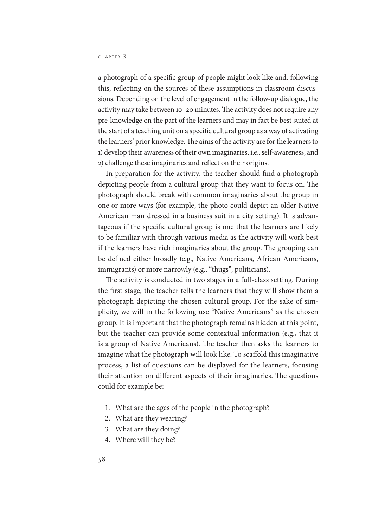a photograph of a specific group of people might look like and, following this, reflecting on the sources of these assumptions in classroom discussions. Depending on the level of engagement in the follow-up dialogue, the activity may take between 10–20 minutes. The activity does not require any pre-knowledge on the part of the learners and may in fact be best suited at the start of a teaching unit on a specific cultural group as a way of activating the learners' prior knowledge. The aims of the activity are for the learners to 1) develop their awareness of their own imaginaries, i.e., self-awareness, and 2) challenge these imaginaries and reflect on their origins.

In preparation for the activity, the teacher should find a photograph depicting people from a cultural group that they want to focus on. The photograph should break with common imaginaries about the group in one or more ways (for example, the photo could depict an older Native American man dressed in a business suit in a city setting). It is advantageous if the specific cultural group is one that the learners are likely to be familiar with through various media as the activity will work best if the learners have rich imaginaries about the group. The grouping can be defined either broadly (e.g., Native Americans, African Americans, immigrants) or more narrowly (e.g., "thugs", politicians).

The activity is conducted in two stages in a full-class setting. During the first stage, the teacher tells the learners that they will show them a photograph depicting the chosen cultural group. For the sake of simplicity, we will in the following use "Native Americans" as the chosen group. It is important that the photograph remains hidden at this point, but the teacher can provide some contextual information (e.g., that it is a group of Native Americans). The teacher then asks the learners to imagine what the photograph will look like. To scaffold this imaginative process, a list of questions can be displayed for the learners, focusing their attention on different aspects of their imaginaries. The questions could for example be:

- 1. What are the ages of the people in the photograph?
- 2. What are they wearing?
- 3. What are they doing?
- 4. Where will they be?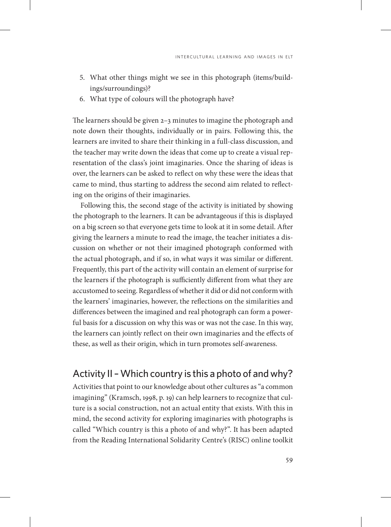- 5. What other things might we see in this photograph (items/buildings/surroundings)?
- 6. What type of colours will the photograph have?

The learners should be given 2–3 minutes to imagine the photograph and note down their thoughts, individually or in pairs. Following this, the learners are invited to share their thinking in a full-class discussion, and the teacher may write down the ideas that come up to create a visual representation of the class's joint imaginaries. Once the sharing of ideas is over, the learners can be asked to reflect on why these were the ideas that came to mind, thus starting to address the second aim related to reflecting on the origins of their imaginaries.

Following this, the second stage of the activity is initiated by showing the photograph to the learners. It can be advantageous if this is displayed on a big screen so that everyone gets time to look at it in some detail. After giving the learners a minute to read the image, the teacher initiates a discussion on whether or not their imagined photograph conformed with the actual photograph, and if so, in what ways it was similar or different. Frequently, this part of the activity will contain an element of surprise for the learners if the photograph is sufficiently different from what they are accustomed to seeing. Regardless of whether it did or did not conform with the learners' imaginaries, however, the reflections on the similarities and differences between the imagined and real photograph can form a powerful basis for a discussion on why this was or was not the case. In this way, the learners can jointly reflect on their own imaginaries and the effects of these, as well as their origin, which in turn promotes self-awareness.

#### Activity II – Which country is this a photo of and why?

Activities that point to our knowledge about other cultures as "a common imagining" (Kramsch, 1998, p. 19) can help learners to recognize that culture is a social construction, not an actual entity that exists. With this in mind, the second activity for exploring imaginaries with photographs is called "Which country is this a photo of and why?". It has been adapted from the Reading International Solidarity Centre's (RISC) online toolkit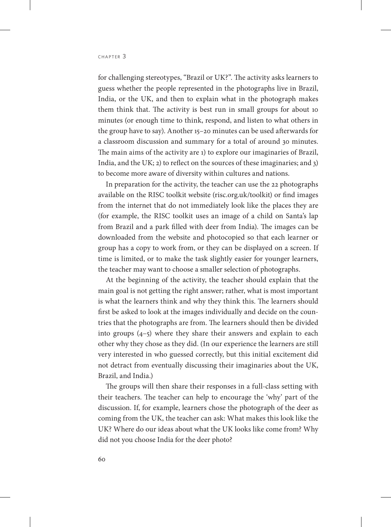#### $CHAPTER<sub>3</sub>$

for challenging stereotypes, "Brazil or UK?". The activity asks learners to guess whether the people represented in the photographs live in Brazil, India, or the UK, and then to explain what in the photograph makes them think that. The activity is best run in small groups for about 10 minutes (or enough time to think, respond, and listen to what others in the group have to say). Another 15–20 minutes can be used afterwards for a classroom discussion and summary for a total of around 30 minutes. The main aims of the activity are 1) to explore our imaginaries of Brazil, India, and the UK; 2) to reflect on the sources of these imaginaries; and 3) to become more aware of diversity within cultures and nations.

In preparation for the activity, the teacher can use the 22 photographs available on the RISC toolkit website (risc.org.uk/toolkit) or find images from the internet that do not immediately look like the places they are (for example, the RISC toolkit uses an image of a child on Santa's lap from Brazil and a park filled with deer from India). The images can be downloaded from the website and photocopied so that each learner or group has a copy to work from, or they can be displayed on a screen. If time is limited, or to make the task slightly easier for younger learners, the teacher may want to choose a smaller selection of photographs.

At the beginning of the activity, the teacher should explain that the main goal is not getting the right answer; rather, what is most important is what the learners think and why they think this. The learners should first be asked to look at the images individually and decide on the countries that the photographs are from. The learners should then be divided into groups (4–5) where they share their answers and explain to each other why they chose as they did. (In our experience the learners are still very interested in who guessed correctly, but this initial excitement did not detract from eventually discussing their imaginaries about the UK, Brazil, and India.)

The groups will then share their responses in a full-class setting with their teachers. The teacher can help to encourage the 'why' part of the discussion. If, for example, learners chose the photograph of the deer as coming from the UK, the teacher can ask: What makes this look like the UK? Where do our ideas about what the UK looks like come from? Why did not you choose India for the deer photo?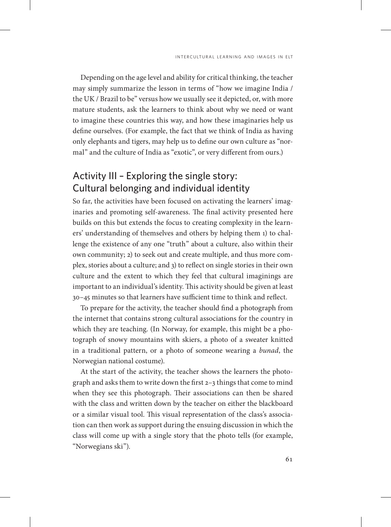Depending on the age level and ability for critical thinking, the teacher may simply summarize the lesson in terms of "how we imagine India / the UK / Brazil to be" versus how we usually see it depicted, or, with more mature students, ask the learners to think about why we need or want to imagine these countries this way, and how these imaginaries help us define ourselves. (For example, the fact that we think of India as having only elephants and tigers, may help us to define our own culture as "normal" and the culture of India as "exotic", or very different from ours.)

# Activity III – Exploring the single story: Cultural belonging and individual identity

So far, the activities have been focused on activating the learners' imaginaries and promoting self-awareness. The final activity presented here builds on this but extends the focus to creating complexity in the learners' understanding of themselves and others by helping them 1) to challenge the existence of any one "truth" about a culture, also within their own community; 2) to seek out and create multiple, and thus more complex, stories about a culture; and 3) to reflect on single stories in their own culture and the extent to which they feel that cultural imaginings are important to an individual's identity. This activity should be given at least 30–45 minutes so that learners have sufficient time to think and reflect.

To prepare for the activity, the teacher should find a photograph from the internet that contains strong cultural associations for the country in which they are teaching. (In Norway, for example, this might be a photograph of snowy mountains with skiers, a photo of a sweater knitted in a traditional pattern, or a photo of someone wearing a *bunad*, the Norwegian national costume).

At the start of the activity, the teacher shows the learners the photograph and asks them to write down the first 2–3 things that come to mind when they see this photograph. Their associations can then be shared with the class and written down by the teacher on either the blackboard or a similar visual tool. This visual representation of the class's association can then work as support during the ensuing discussion in which the class will come up with a single story that the photo tells (for example, "Norwegians ski").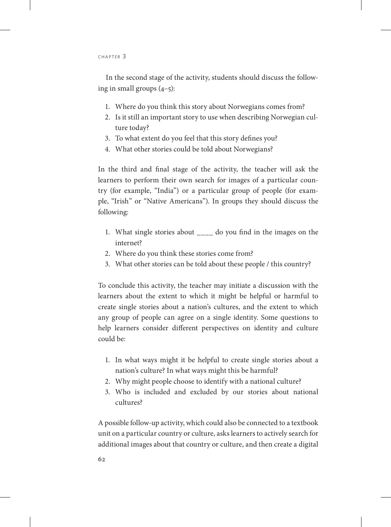$CHAPTER<sub>3</sub>$ 

In the second stage of the activity, students should discuss the following in small groups  $(4-5)$ :

- 1. Where do you think this story about Norwegians comes from?
- 2. Is it still an important story to use when describing Norwegian culture today?
- 3. To what extent do you feel that this story defines you?
- 4. What other stories could be told about Norwegians?

In the third and final stage of the activity, the teacher will ask the learners to perform their own search for images of a particular country (for example, "India") or a particular group of people (for example, "Irish" or "Native Americans"). In groups they should discuss the following:

- 1. What single stories about \_\_\_\_ do you find in the images on the internet?
- 2. Where do you think these stories come from?
- 3. What other stories can be told about these people / this country?

To conclude this activity, the teacher may initiate a discussion with the learners about the extent to which it might be helpful or harmful to create single stories about a nation's cultures, and the extent to which any group of people can agree on a single identity. Some questions to help learners consider different perspectives on identity and culture could be:

- 1. In what ways might it be helpful to create single stories about a nation's culture? In what ways might this be harmful?
- 2. Why might people choose to identify with a national culture?
- 3. Who is included and excluded by our stories about national cultures?

A possible follow-up activity, which could also be connected to a textbook unit on a particular country or culture, asks learners to actively search for additional images about that country or culture, and then create a digital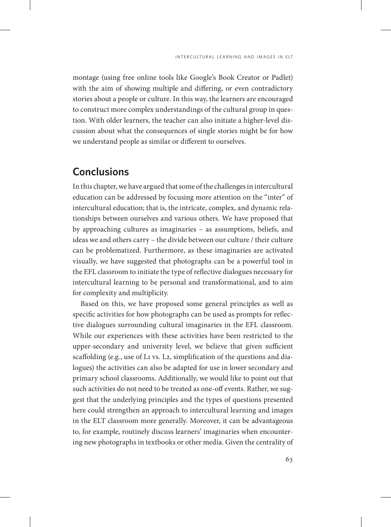montage (using free online tools like Google's Book Creator or Padlet) with the aim of showing multiple and differing, or even contradictory stories about a people or culture. In this way, the learners are encouraged to construct more complex understandings of the cultural group in question. With older learners, the teacher can also initiate a higher-level discussion about what the consequences of single stories might be for how we understand people as similar or different to ourselves.

## **Conclusions**

In this chapter, we have argued that some of the challenges in intercultural education can be addressed by focusing more attention on the "inter" of intercultural education; that is, the intricate, complex, and dynamic relationships between ourselves and various others. We have proposed that by approaching cultures as imaginaries – as assumptions, beliefs, and ideas we and others carry – the divide between our culture / their culture can be problematized. Furthermore, as these imaginaries are activated visually, we have suggested that photographs can be a powerful tool in the EFL classroom to initiate the type of reflective dialogues necessary for intercultural learning to be personal and transformational, and to aim for complexity and multiplicity.

Based on this, we have proposed some general principles as well as specific activities for how photographs can be used as prompts for reflective dialogues surrounding cultural imaginaries in the EFL classroom. While our experiences with these activities have been restricted to the upper-secondary and university level, we believe that given sufficient scaffolding (e.g., use of L1 vs. L2, simplification of the questions and dialogues) the activities can also be adapted for use in lower secondary and primary school classrooms. Additionally, we would like to point out that such activities do not need to be treated as one-off events. Rather, we suggest that the underlying principles and the types of questions presented here could strengthen an approach to intercultural learning and images in the ELT classroom more generally. Moreover, it can be advantageous to, for example, routinely discuss learners' imaginaries when encountering new photographs in textbooks or other media. Given the centrality of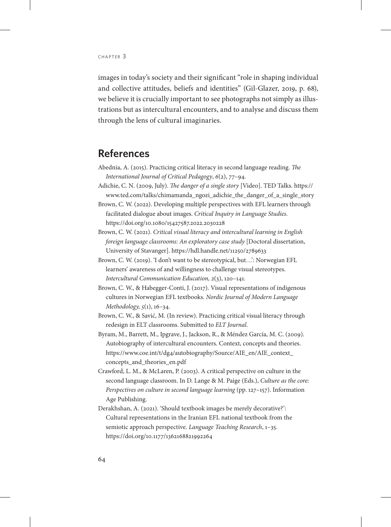images in today's society and their significant "role in shaping individual and collective attitudes, beliefs and identities" (Gil-Glazer, 2019, p. 68), we believe it is crucially important to see photographs not simply as illustrations but as intercultural encounters, and to analyse and discuss them through the lens of cultural imaginaries.

#### **References**

- Abednia, A. (2015). Practicing critical literacy in second language reading. *The International Journal of Critical Pedagogy*, *6*(2), 77–94.
- Adichie, C. N. (2009, July). *The danger of a single story* [Video]. TED Talks. [https://](https://www.ted.com/talks/chimamanda_ngozi_adichie_the_danger_of_a_single_story) [www.ted.com/talks/chimamanda\\_ngozi\\_adichie\\_the\\_danger\\_of\\_a\\_single\\_story](https://www.ted.com/talks/chimamanda_ngozi_adichie_the_danger_of_a_single_story)

Brown, C. W. (2022). Developing multiple perspectives with EFL learners through facilitated dialogue about images. *Critical Inquiry in Language Studies*. <https://doi.org/10.1080/15427587.2022.2030228>

Brown, C. W. (2021). *Critical visual literacy and intercultural learning in English foreign language classrooms: An exploratory case study* [Doctoral dissertation, University of Stavanger].<https://hdl.handle.net/11250/2789633>

- Brown, C. W. (2019). 'I don't want to be stereotypical, but…': Norwegian EFL learners' awareness of and willingness to challenge visual stereotypes. *Intercultural Communication Education, 2*(3), 120–141.
- Brown, C. W., & Habegger-Conti, J. (2017). Visual representations of indigenous cultures in Norwegian EFL textbooks. *Nordic Journal of Modern Language Methodology, 5*(1), 16–34.
- Brown, C. W., & Savić, M. (In review). Practicing critical visual literacy through redesign in ELT classrooms. Submitted to *ELT Journal*.
- Byram, M., Barrett, M., Ipgrave, J., Jackson, R., & Méndez García, M. C. (2009). Autobiography of intercultural encounters. Context, concepts and theories. [https://www.coe.int/t/dg4/autobiography/Source/AIE\\_en/AIE\\_context\\_](https://www.coe.int/t/dg4/autobiography/Source/AIE_en/AIE_context_concepts_and_theories_en.pdf) [concepts\\_and\\_theories\\_en.pdf](https://www.coe.int/t/dg4/autobiography/Source/AIE_en/AIE_context_concepts_and_theories_en.pdf)
- Crawford, L. M., & McLaren, P. (2003). A critical perspective on culture in the second language classroom. In D. Lange & M. Paige (Eds.), *Culture as the core: Perspectives on culture in second language learning* (pp. 127–157). Information Age Publishing.
- Derakhshan, A. (2021). 'Should textbook images be merely decorative?': Cultural representations in the Iranian EFL national textbook from the semiotic approach perspective. *Language Teaching Research*, 1–35. <https://doi.org/10.1177/1362168821992264>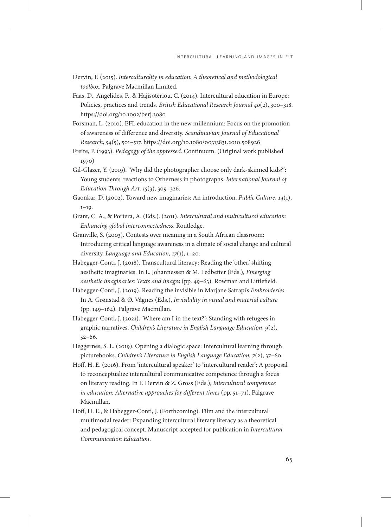- Dervin, F. (2015). *Interculturality in education: A theoretical and methodological toolbox.* Palgrave Macmillan Limited.
- Faas, D., Angelides, P., & Hajisoteriou, C. (2014). Intercultural education in Europe: Policies, practices and trends*. British Educational Research Journal 40*(2), 300–318. <https://doi.org/10.1002/berj.3080>
- Forsman, L. (2010). EFL education in the new millennium: Focus on the promotion of awareness of difference and diversity. *Scandinavian Journal of Educational Research, 54*(5), 501–517.<https://doi.org/10.1080/00313831.2010.508926>
- Freire, P. (1993). *Pedagogy of the oppressed*. Continuum. (Original work published 1970)
- Gil-Glazer, Y. (2019). 'Why did the photographer choose only dark-skinned kids?': Young students' reactions to Otherness in photographs. *International Journal of Education Through Art, 15*(3), 309–326.
- Gaonkar, D. (2002). Toward new imaginaries: An introduction. *Public Culture, 14*(1),  $1-19.$
- Grant, C. A., & Portera, A. (Eds.). (2011). *Intercultural and multicultural education: Enhancing global interconnectedness*. Routledge.
- Granville, S. (2003). Contests over meaning in a South African classroom: Introducing critical language awareness in a climate of social change and cultural diversity. *Language and Education, 17*(1), 1–20.
- Habegger-Conti, J. (2018). Transcultural literacy: Reading the 'other,' shifting aesthetic imaginaries. In L. Johannessen & M. Ledbetter (Eds.), *Emerging aesthetic imaginaries: Texts and images* (pp. 49–63). Rowman and Littlefield.
- Habegger-Conti, J. (2019). Reading the invisible in Marjane Satrapi's *Embroideries*. In A. Grønstad & Ø. Vågnes (Eds.), *Invisibility in visual and material culture* (pp. 149–164). Palgrave Macmillan.
- Habegger-Conti, J. (2021). 'Where am I in the text?': Standing with refugees in graphic narratives. *Children's Literature in English Language Education, 9*(2), 52–66.
- Heggernes, S. L. (2019). Opening a dialogic space: Intercultural learning through picturebooks. *Children's Literature in English Language Education, 7*(2), 37–60.
- Hoff, H. E. (2016). From 'intercultural speaker' to 'intercultural reader': A proposal to reconceptualize intercultural communicative competence through a focus on literary reading. In F. Dervin & Z. Gross (Eds.), *Intercultural competence in education: Alternative approaches for different times* (pp. 51–71). Palgrave Macmillan.
- Hoff, H. E., & Habegger-Conti, J. (Forthcoming). Film and the intercultural multimodal reader: Expanding intercultural literary literacy as a theoretical and pedagogical concept. Manuscript accepted for publication in *Intercultural Communication Education*.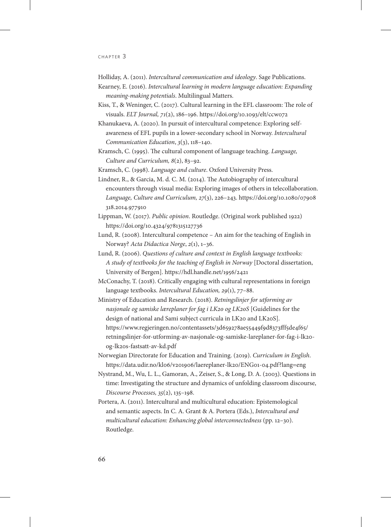Holliday, A. (2011). *Intercultural communication and ideology*. Sage Publications.

- Kearney, E. (2016). *Intercultural learning in modern language education: Expanding meaning-making potentials*. Multilingual Matters.
- Kiss, T., & Weninger, C. (2017). Cultural learning in the EFL classroom: The role of visuals. *ELT Journal, 71*(2), 186–196. <https://doi.org/10.1093/elt/ccw072>

Khanukaeva, A. (2020). In pursuit of intercultural competence: Exploring selfawareness of EFL pupils in a lower-secondary school in Norway. *Intercultural Communication Education*, *3*(3), 118–140.

Kramsch, C. (1995). The cultural component of language teaching. *Language, Culture and Curriculum, 8*(2), 83–92.

Kramsch, C. (1998). *Language and culture*. Oxford University Press.

- Lindner, R., & Garcia, M. d. C. M. (2014). The Autobiography of intercultural encounters through visual media: Exploring images of others in telecollaboration. *Language, Culture and Curriculum, 27*(3), 226–243. [https://doi.org/10.1080/07908](https://doi.org/10.1080/07908318.2014.977910) [318.2014.977910](https://doi.org/10.1080/07908318.2014.977910)
- Lippman, W. (2017). *Public opinion*. Routledge. (Original work published 1922) <https://doi.org/10.4324/9781315127736>
- Lund, R. (2008). Intercultural competence An aim for the teaching of English in Norway? *Acta Didactica Norge*, *2*(1), 1–36.
- Lund, R. (2006). *Questions of culture and context in English language textbooks: A study of textbooks for the teaching of English in Norway* [Doctoral dissertation, University of Bergen].<https://hdl.handle.net/1956/2421>
- McConachy, T. (2018). Critically engaging with cultural representations in foreign language textbooks. *Intercultural Education, 29*(1), 77–88.
- Ministry of Education and Research. (2018). *Retningslinjer for utforming av nasjonale og samiske læreplaner for fag i LK20 og LK20S* [Guidelines for the design of national and Sami subject curricula in LK20 and LK20S]. [https://www.regjeringen.no/contentassets/3d659278ae55449f9d8373fff5de4f65/](https://www.regjeringen.no/contentassets/3d659278ae55449f9d8373fff5de4f65/retningslinjer-for-utforming-av-nasjonale-og-samiske-lareplaner-for-fag-i-lk20-og-lk20s-fastsatt-av-kd.pdf) [retningslinjer-for-utforming-av-nasjonale-og-samiske-lareplaner-for-fag-i-lk20](https://www.regjeringen.no/contentassets/3d659278ae55449f9d8373fff5de4f65/retningslinjer-for-utforming-av-nasjonale-og-samiske-lareplaner-for-fag-i-lk20-og-lk20s-fastsatt-av-kd.pdf) [og-lk20s-fastsatt-av-kd.pdf](https://www.regjeringen.no/contentassets/3d659278ae55449f9d8373fff5de4f65/retningslinjer-for-utforming-av-nasjonale-og-samiske-lareplaner-for-fag-i-lk20-og-lk20s-fastsatt-av-kd.pdf)
- Norwegian Directorate for Education and Training. (2019). *Curriculum in English*. <https://data.udir.no/kl06/v201906/laereplaner-lk20/ENG01-04.pdf?lang=eng>
- Nystrand, M., Wu, L. L., Gamoran, A., Zeiser, S., & Long, D. A. (2003). Questions in time: Investigating the structure and dynamics of unfolding classroom discourse, *Discourse Processes, 35*(2), 135–198.
- Portera, A. (2011). Intercultural and multicultural education: Epistemological and semantic aspects. In C. A. Grant & A. Portera (Eds.), *Intercultural and multicultural education: Enhancing global interconnectedness* (pp. 12–30). Routledge.